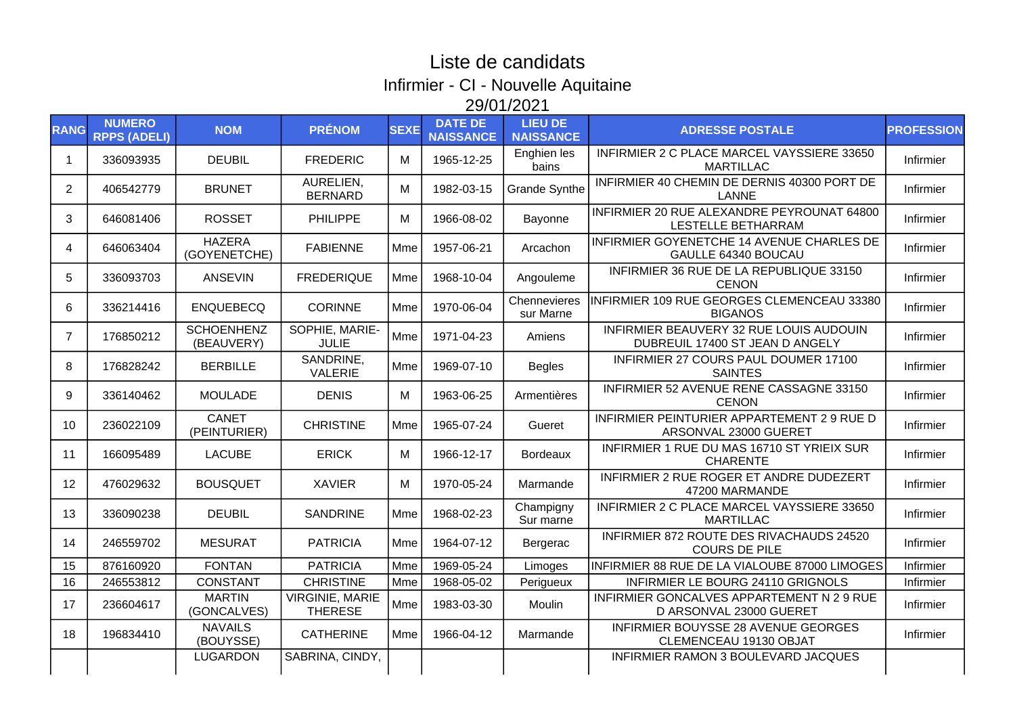## Liste de candidats Infirmier - CI - Nouvelle Aquitaine 29/01/2021

| <b>RANG</b>    | <b>NUMERO</b><br><b>RPPS (ADELI)</b> | <b>NOM</b>                      | <b>PRÉNOM</b>                            | <b>SEXE</b> | <b>DATE DE</b><br><b>NAISSANCE</b> | <b>LIEU DE</b><br><b>NAISSANCE</b> | <b>ADRESSE POSTALE</b>                                                     | <b>PROFESSION</b> |
|----------------|--------------------------------------|---------------------------------|------------------------------------------|-------------|------------------------------------|------------------------------------|----------------------------------------------------------------------------|-------------------|
| -1             | 336093935                            | <b>DEUBIL</b>                   | <b>FREDERIC</b>                          | M           | 1965-12-25                         | Enghien les<br>bains               | INFIRMIER 2 C PLACE MARCEL VAYSSIERE 33650<br><b>MARTILLAC</b>             | Infirmier         |
| $\overline{2}$ | 406542779                            | <b>BRUNET</b>                   | AURELIEN,<br><b>BERNARD</b>              | М           | 1982-03-15                         | <b>Grande Synthe</b>               | INFIRMIER 40 CHEMIN DE DERNIS 40300 PORT DE<br><b>LANNE</b>                | Infirmier         |
| 3              | 646081406                            | <b>ROSSET</b>                   | <b>PHILIPPE</b>                          | м           | 1966-08-02                         | Bayonne                            | INFIRMIER 20 RUE ALEXANDRE PEYROUNAT 64800<br>LESTELLE BETHARRAM           | Infirmier         |
| 4              | 646063404                            | <b>HAZERA</b><br>(GOYENETCHE)   | <b>FABIENNE</b>                          | Mme         | 1957-06-21                         | Arcachon                           | INFIRMIER GOYENETCHE 14 AVENUE CHARLES DE<br>GAULLE 64340 BOUCAU           | Infirmier         |
| 5              | 336093703                            | ANSEVIN                         | <b>FREDERIQUE</b>                        | Mme         | 1968-10-04                         | Angouleme                          | INFIRMIER 36 RUE DE LA REPUBLIQUE 33150<br><b>CENON</b>                    | Infirmier         |
| 6              | 336214416                            | <b>ENQUEBECQ</b>                | <b>CORINNE</b>                           | Mme         | 1970-06-04                         | Chennevieres<br>sur Marne          | INFIRMIER 109 RUE GEORGES CLEMENCEAU 33380<br><b>BIGANOS</b>               | Infirmier         |
| 7              | 176850212                            | <b>SCHOENHENZ</b><br>(BEAUVERY) | SOPHIE, MARIE-<br><b>JULIE</b>           | Mme         | 1971-04-23                         | Amiens                             | INFIRMIER BEAUVERY 32 RUE LOUIS AUDOUIN<br>DUBREUIL 17400 ST JEAN D ANGELY | Infirmier         |
| 8              | 176828242                            | <b>BERBILLE</b>                 | SANDRINE,<br><b>VALERIE</b>              | Mme         | 1969-07-10                         | <b>Begles</b>                      | INFIRMIER 27 COURS PAUL DOUMER 17100<br><b>SAINTES</b>                     | Infirmier         |
| 9              | 336140462                            | <b>MOULADE</b>                  | <b>DENIS</b>                             | м           | 1963-06-25                         | Armentières                        | INFIRMIER 52 AVENUE RENE CASSAGNE 33150<br><b>CENON</b>                    | Infirmier         |
| 10             | 236022109                            | <b>CANET</b><br>(PEINTURIER)    | <b>CHRISTINE</b>                         | Mme         | 1965-07-24                         | Gueret                             | INFIRMIER PEINTURIER APPARTEMENT 2 9 RUE D<br>ARSONVAL 23000 GUERET        | Infirmier         |
| 11             | 166095489                            | <b>LACUBE</b>                   | <b>ERICK</b>                             | м           | 1966-12-17                         | <b>Bordeaux</b>                    | INFIRMIER 1 RUE DU MAS 16710 ST YRIEIX SUR<br><b>CHARENTE</b>              | Infirmier         |
| 12             | 476029632                            | <b>BOUSQUET</b>                 | <b>XAVIER</b>                            | м           | 1970-05-24                         | Marmande                           | INFIRMIER 2 RUE ROGER ET ANDRE DUDEZERT<br>47200 MARMANDE                  | Infirmier         |
| 13             | 336090238                            | <b>DEUBIL</b>                   | <b>SANDRINE</b>                          | Mme         | 1968-02-23                         | Champigny<br>Sur marne             | INFIRMIER 2 C PLACE MARCEL VAYSSIERE 33650<br><b>MARTILLAC</b>             | Infirmier         |
| 14             | 246559702                            | <b>MESURAT</b>                  | <b>PATRICIA</b>                          | Mme         | 1964-07-12                         | Bergerac                           | INFIRMIER 872 ROUTE DES RIVACHAUDS 24520<br><b>COURS DE PILE</b>           | Infirmier         |
| 15             | 876160920                            | <b>FONTAN</b>                   | <b>PATRICIA</b>                          | <b>Mme</b>  | 1969-05-24                         | Limoges                            | INFIRMIER 88 RUE DE LA VIALOUBE 87000 LIMOGES                              | Infirmier         |
| 16             | 246553812                            | <b>CONSTANT</b>                 | <b>CHRISTINE</b>                         | Mme         | 1968-05-02                         | Perigueux                          | INFIRMIER LE BOURG 24110 GRIGNOLS                                          | Infirmier         |
| 17             | 236604617                            | <b>MARTIN</b><br>(GONCALVES)    | <b>VIRGINIE, MARIE</b><br><b>THERESE</b> | Mme         | 1983-03-30                         | Moulin                             | INFIRMIER GONCALVES APPARTEMENT N 2 9 RUE<br>D ARSONVAL 23000 GUERET       | Infirmier         |
| 18             | 196834410                            | <b>NAVAILS</b><br>(BOUYSSE)     | <b>CATHERINE</b>                         | Mme         | 1966-04-12                         | Marmande                           | INFIRMIER BOUYSSE 28 AVENUE GEORGES<br>CLEMENCEAU 19130 OBJAT              | Infirmier         |
|                |                                      | <b>LUGARDON</b>                 | SABRINA, CINDY,                          |             |                                    |                                    | INFIRMIER RAMON 3 BOULEVARD JACQUES                                        |                   |